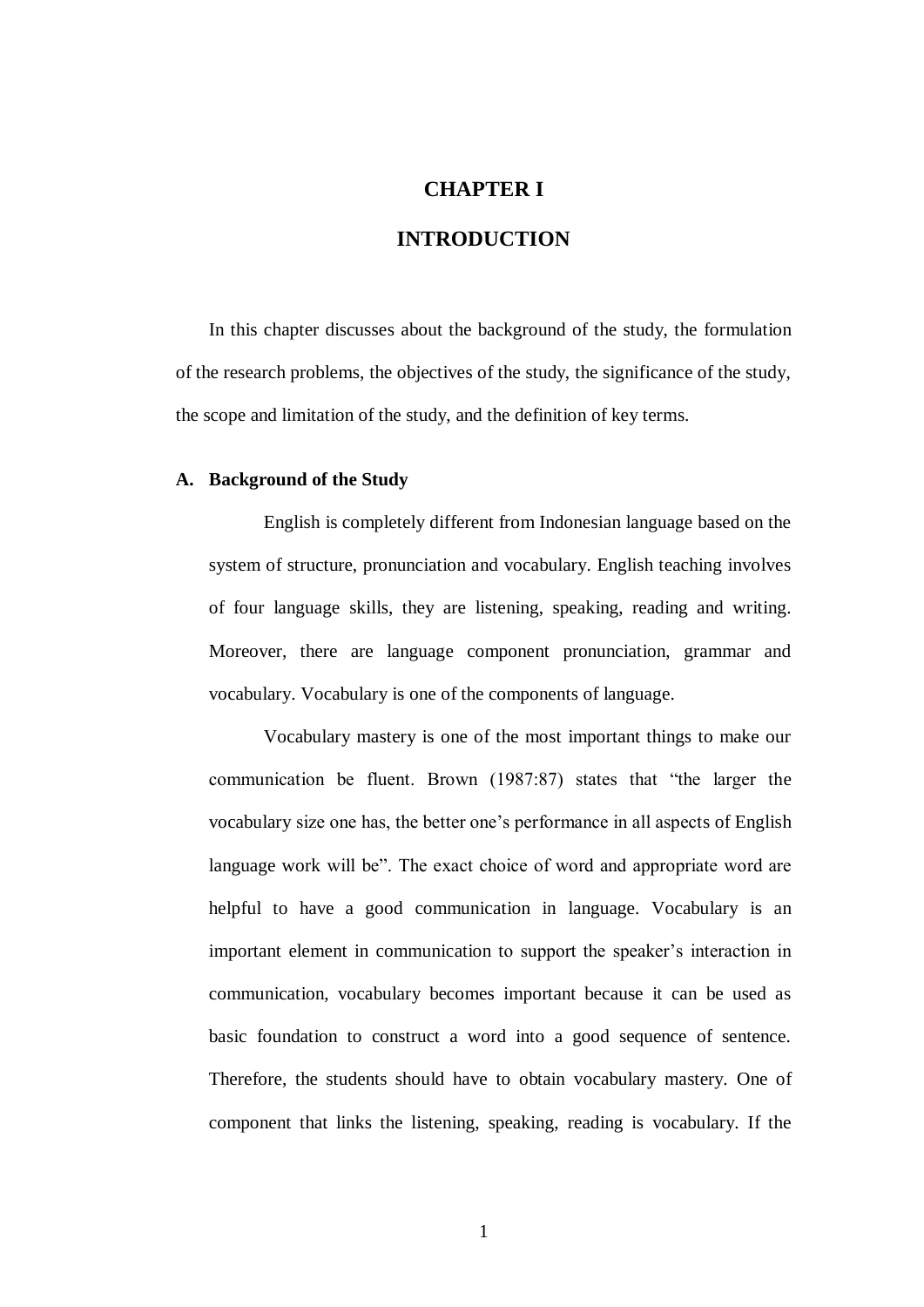## **CHAPTER I**

# **INTRODUCTION**

In this chapter discusses about the background of the study, the formulation of the research problems, the objectives of the study, the significance of the study, the scope and limitation of the study, and the definition of key terms.

#### **A. Background of the Study**

English is completely different from Indonesian language based on the system of structure, pronunciation and vocabulary. English teaching involves of four language skills, they are listening, speaking, reading and writing. Moreover, there are language component pronunciation, grammar and vocabulary. Vocabulary is one of the components of language.

Vocabulary mastery is one of the most important things to make our communication be fluent. Brown (1987:87) states that "the larger the vocabulary size one has, the better one's performance in all aspects of English language work will be". The exact choice of word and appropriate word are helpful to have a good communication in language. Vocabulary is an important element in communication to support the speaker's interaction in communication, vocabulary becomes important because it can be used as basic foundation to construct a word into a good sequence of sentence. Therefore, the students should have to obtain vocabulary mastery. One of component that links the listening, speaking, reading is vocabulary. If the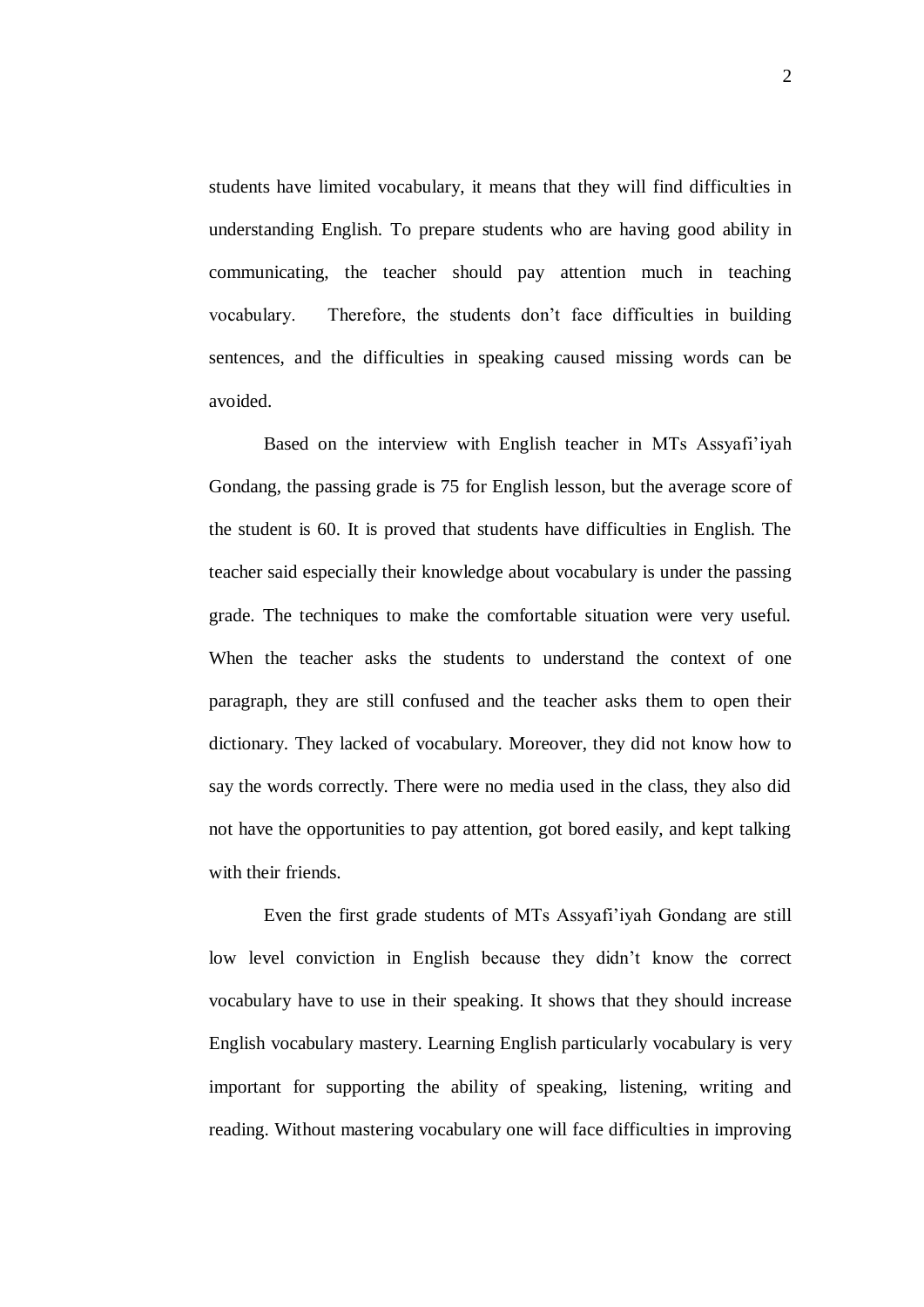students have limited vocabulary, it means that they will find difficulties in understanding English. To prepare students who are having good ability in communicating, the teacher should pay attention much in teaching vocabulary. Therefore, the students don't face difficulties in building sentences, and the difficulties in speaking caused missing words can be avoided.

Based on the interview with English teacher in MTs Assyafi'iyah Gondang, the passing grade is 75 for English lesson, but the average score of the student is 60. It is proved that students have difficulties in English. The teacher said especially their knowledge about vocabulary is under the passing grade. The techniques to make the comfortable situation were very useful. When the teacher asks the students to understand the context of one paragraph, they are still confused and the teacher asks them to open their dictionary. They lacked of vocabulary. Moreover, they did not know how to say the words correctly. There were no media used in the class, they also did not have the opportunities to pay attention, got bored easily, and kept talking with their friends.

Even the first grade students of MTs Assyafi'iyah Gondang are still low level conviction in English because they didn't know the correct vocabulary have to use in their speaking. It shows that they should increase English vocabulary mastery. Learning English particularly vocabulary is very important for supporting the ability of speaking, listening, writing and reading. Without mastering vocabulary one will face difficulties in improving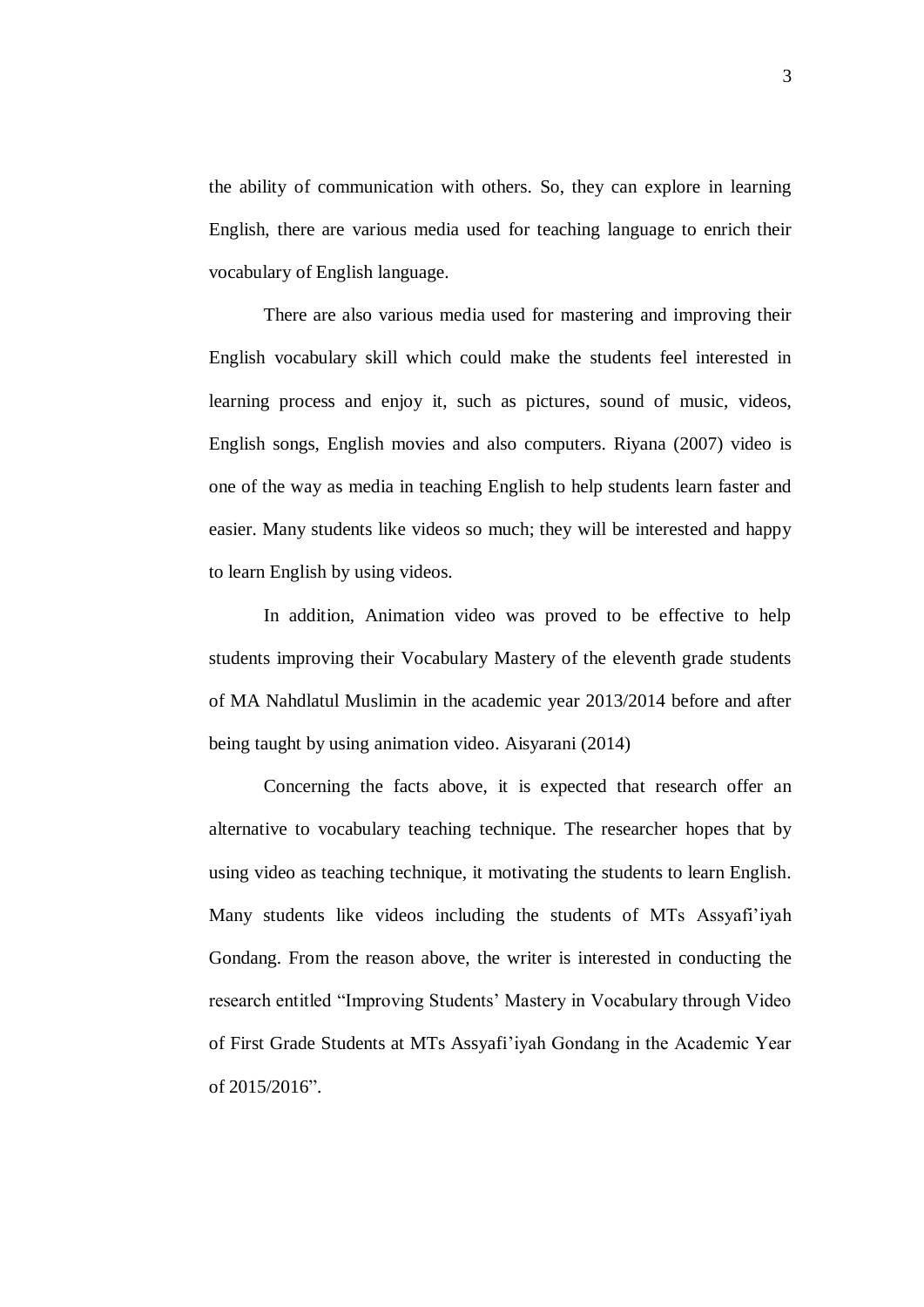the ability of communication with others. So, they can explore in learning English, there are various media used for teaching language to enrich their vocabulary of English language.

There are also various media used for mastering and improving their English vocabulary skill which could make the students feel interested in learning process and enjoy it, such as pictures, sound of music, videos, English songs, English movies and also computers. Riyana (2007) video is one of the way as media in teaching English to help students learn faster and easier. Many students like videos so much; they will be interested and happy to learn English by using videos.

In addition, Animation video was proved to be effective to help students improving their Vocabulary Mastery of the eleventh grade students of MA Nahdlatul Muslimin in the academic year 2013/2014 before and after being taught by using animation video. Aisyarani (2014)

Concerning the facts above, it is expected that research offer an alternative to vocabulary teaching technique. The researcher hopes that by using video as teaching technique, it motivating the students to learn English. Many students like videos including the students of MTs Assyafi'iyah Gondang. From the reason above, the writer is interested in conducting the research entitled "Improving Students' Mastery in Vocabulary through Video of First Grade Students at MTs Assyafi'iyah Gondang in the Academic Year of 2015/2016".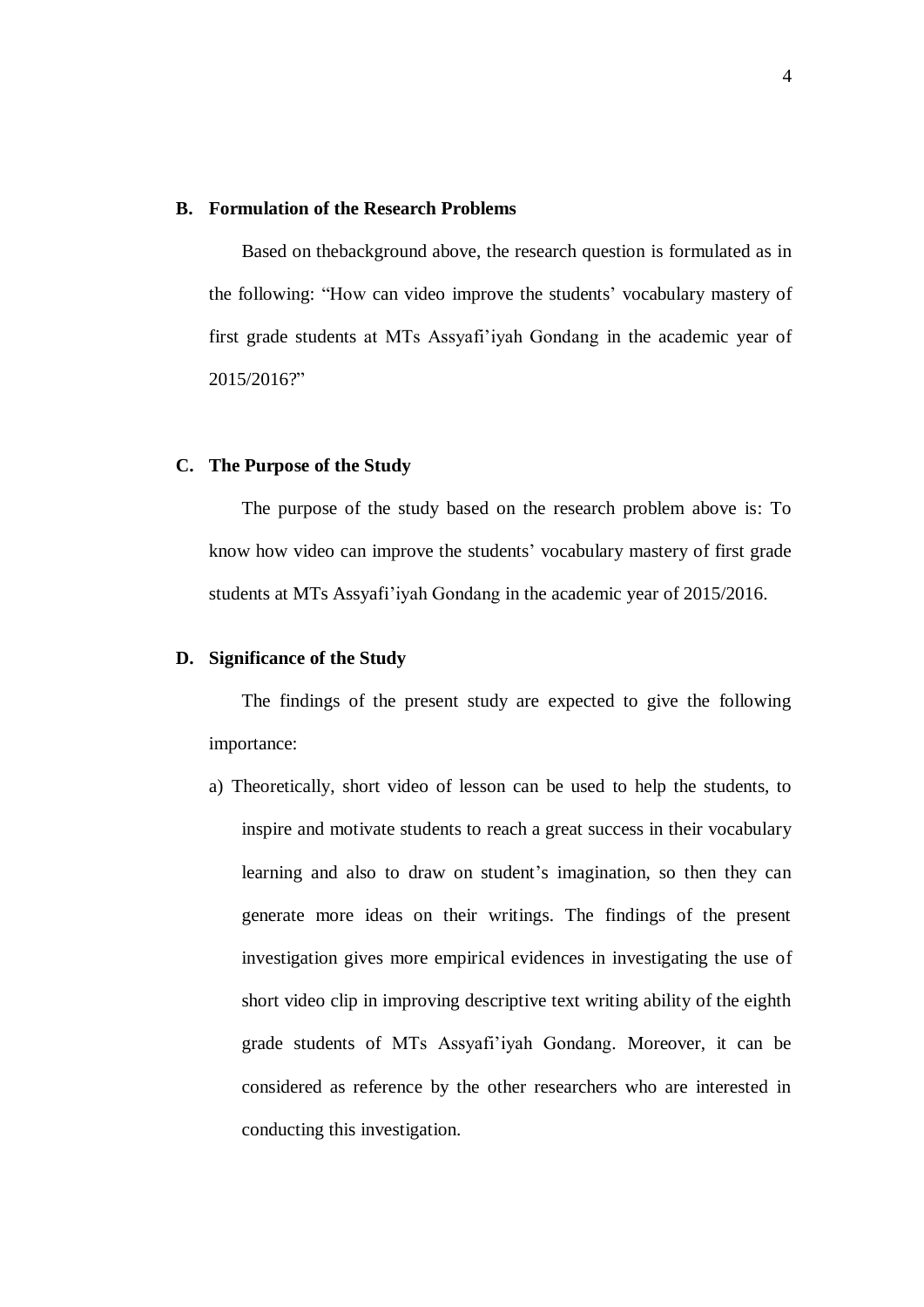#### **B. Formulation of the Research Problems**

Based on thebackground above, the research question is formulated as in the following: "How can video improve the students' vocabulary mastery of first grade students at MTs Assyafi'iyah Gondang in the academic year of 2015/2016?"

#### **C. The Purpose of the Study**

The purpose of the study based on the research problem above is: To know how video can improve the students' vocabulary mastery of first grade students at MTs Assyafi'iyah Gondang in the academic year of 2015/2016.

## **D. Significance of the Study**

The findings of the present study are expected to give the following importance:

a) Theoretically, short video of lesson can be used to help the students, to inspire and motivate students to reach a great success in their vocabulary learning and also to draw on student's imagination, so then they can generate more ideas on their writings. The findings of the present investigation gives more empirical evidences in investigating the use of short video clip in improving descriptive text writing ability of the eighth grade students of MTs Assyafi'iyah Gondang. Moreover, it can be considered as reference by the other researchers who are interested in conducting this investigation.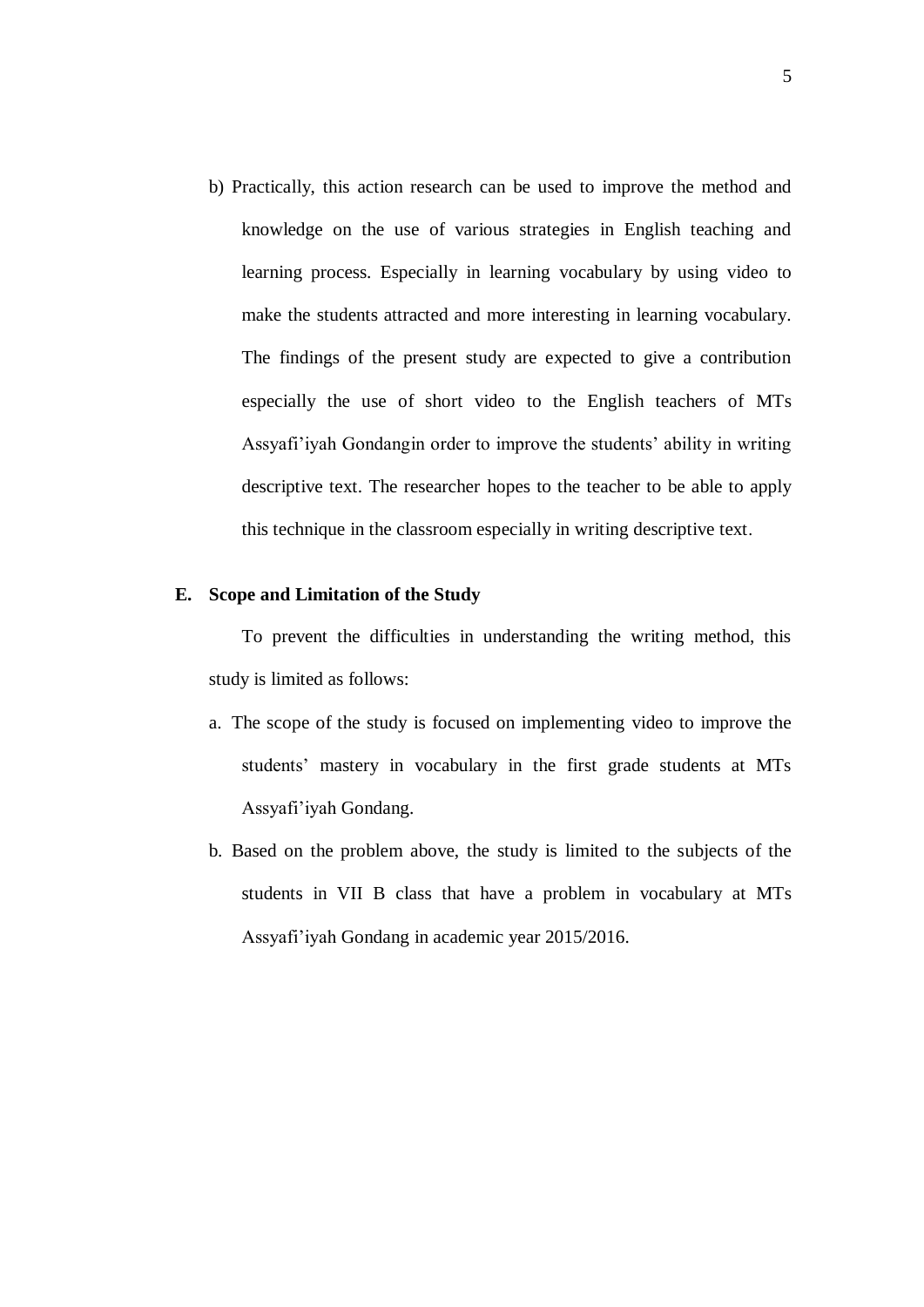b) Practically, this action research can be used to improve the method and knowledge on the use of various strategies in English teaching and learning process. Especially in learning vocabulary by using video to make the students attracted and more interesting in learning vocabulary. The findings of the present study are expected to give a contribution especially the use of short video to the English teachers of MTs Assyafi'iyah Gondangin order to improve the students' ability in writing descriptive text. The researcher hopes to the teacher to be able to apply this technique in the classroom especially in writing descriptive text.

#### **E. Scope and Limitation of the Study**

To prevent the difficulties in understanding the writing method, this study is limited as follows:

- a. The scope of the study is focused on implementing video to improve the students' mastery in vocabulary in the first grade students at MTs Assyafi'iyah Gondang.
- b. Based on the problem above, the study is limited to the subjects of the students in VII B class that have a problem in vocabulary at MTs Assyafi'iyah Gondang in academic year 2015/2016.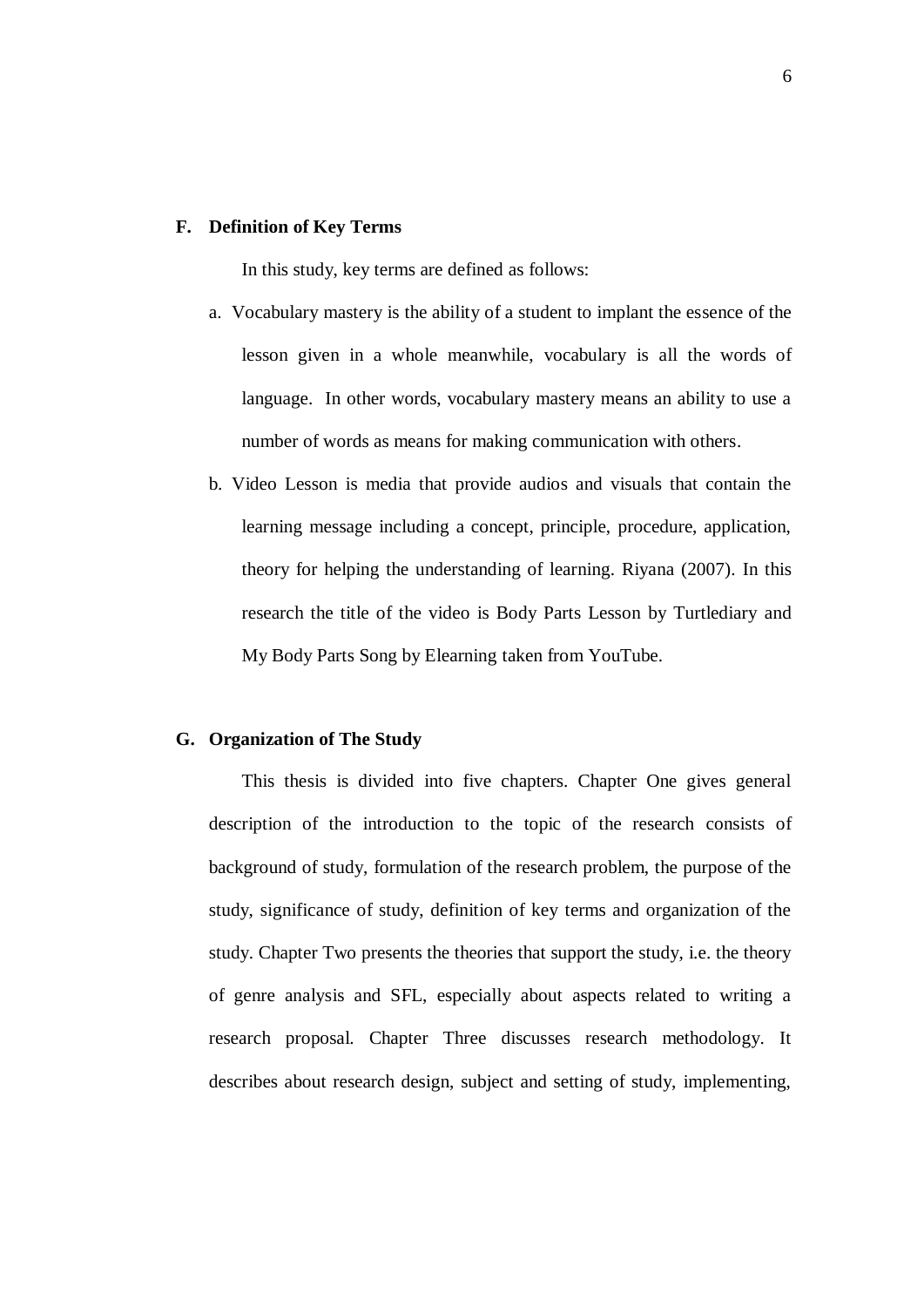#### **F. Definition of Key Terms**

In this study, key terms are defined as follows:

- a. Vocabulary mastery is the ability of a student to implant the essence of the lesson given in a whole meanwhile, vocabulary is all the words of language. In other words, vocabulary mastery means an ability to use a number of words as means for making communication with others.
- b. Video Lesson is media that provide audios and visuals that contain the learning message including a concept, principle, procedure, application, theory for helping the understanding of learning. Riyana (2007). In this research the title of the video is Body Parts Lesson by Turtlediary and My Body Parts Song by Elearning taken from YouTube.

## **G. Organization of The Study**

This thesis is divided into five chapters. Chapter One gives general description of the introduction to the topic of the research consists of background of study, formulation of the research problem, the purpose of the study, significance of study, definition of key terms and organization of the study. Chapter Two presents the theories that support the study, i.e. the theory of genre analysis and SFL, especially about aspects related to writing a research proposal. Chapter Three discusses research methodology. It describes about research design, subject and setting of study, implementing,